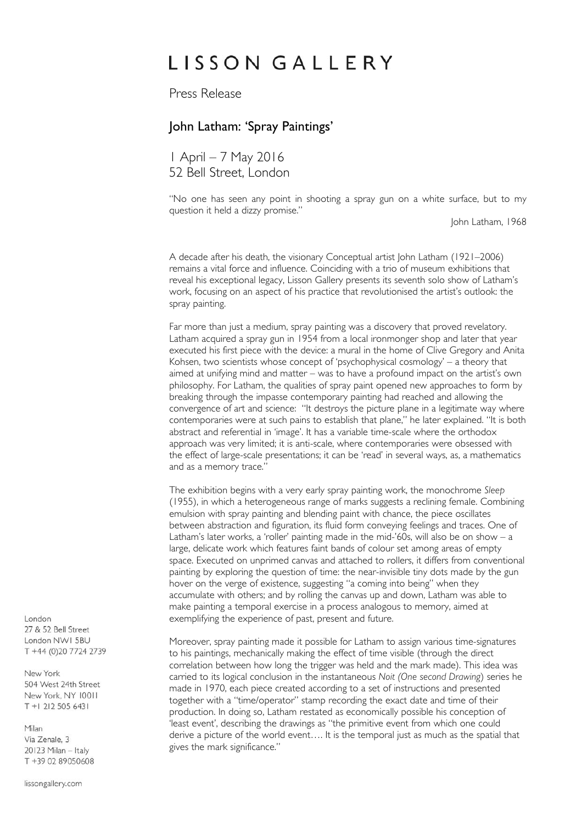# LISSON GALLERY

Press Release

# John Latham: 'Spray Paintings'

1 April – 7 May 2016 52 Bell Street, London

"No one has seen any point in shooting a spray gun on a white surface, but to my question it held a dizzy promise."

John Latham, 1968

A decade after his death, the visionary Conceptual artist John Latham (1921–2006) remains a vital force and influence. Coinciding with a trio of museum exhibitions that reveal his exceptional legacy, Lisson Gallery presents its seventh solo show of Latham's work, focusing on an aspect of his practice that revolutionised the artist's outlook: the spray painting.

Far more than just a medium, spray painting was a discovery that proved revelatory. Latham acquired a spray gun in 1954 from a local ironmonger shop and later that year executed his first piece with the device: a mural in the home of Clive Gregory and Anita Kohsen, two scientists whose concept of 'psychophysical cosmology' – a theory that aimed at unifying mind and matter – was to have a profound impact on the artist's own philosophy. For Latham, the qualities of spray paint opened new approaches to form by breaking through the impasse contemporary painting had reached and allowing the convergence of art and science: "It destroys the picture plane in a legitimate way where contemporaries were at such pains to establish that plane," he later explained. "It is both abstract and referential in 'image'. It has a variable time-scale where the orthodox approach was very limited; it is anti-scale, where contemporaries were obsessed with the effect of large-scale presentations; it can be 'read' in several ways, as, a mathematics and as a memory trace."

The exhibition begins with a very early spray painting work, the monochrome *Sleep* (1955), in which a heterogeneous range of marks suggests a reclining female. Combining emulsion with spray painting and blending paint with chance, the piece oscillates between abstraction and figuration, its fluid form conveying feelings and traces. One of Latham's later works, a 'roller' painting made in the mid-'60s, will also be on show – a large, delicate work which features faint bands of colour set among areas of empty space. Executed on unprimed canvas and attached to rollers, it differs from conventional painting by exploring the question of time: the near-invisible tiny dots made by the gun hover on the verge of existence, suggesting "a coming into being" when they accumulate with others; and by rolling the canvas up and down, Latham was able to make painting a temporal exercise in a process analogous to memory, aimed at exemplifying the experience of past, present and future.

Moreover, spray painting made it possible for Latham to assign various time-signatures to his paintings, mechanically making the effect of time visible (through the direct correlation between how long the trigger was held and the mark made). This idea was carried to its logical conclusion in the instantaneous *Noit (One second Drawing*) series he made in 1970, each piece created according to a set of instructions and presented together with a "time/operator" stamp recording the exact date and time of their production. In doing so, Latham restated as economically possible his conception of 'least event', describing the drawings as "the primitive event from which one could derive a picture of the world event…. It is the temporal just as much as the spatial that gives the mark significance."

 $I$  ondon 27 & 52 Bell Street London NWI 5BU T +44 (0)20 7724 2739

New York 504 West 24th Street New York, NY 10011 T +1 212 505 6431

Milan Via Zenale, 3 20123 Milan - Italy T +39 02 89050608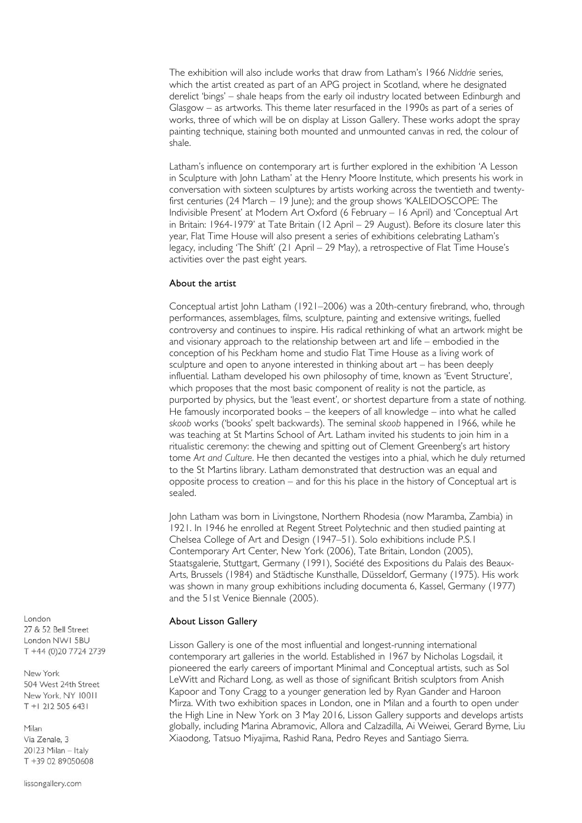The exhibition will also include works that draw from Latham's 1966 *Niddrie* series, which the artist created as part of an APG project in Scotland, where he designated derelict 'bings' – shale heaps from the early oil industry located between Edinburgh and Glasgow – as artworks. This theme later resurfaced in the 1990s as part of a series of works, three of which will be on display at Lisson Gallery. These works adopt the spray painting technique, staining both mounted and unmounted canvas in red, the colour of shale.

Latham's influence on contemporary art is further explored in the exhibition 'A Lesson in Sculpture with John Latham' at the Henry Moore Institute, which presents his work in conversation with sixteen sculptures by artists working across the twentieth and twentyfirst centuries (24 March – 19 June); and the group shows 'KALEIDOSCOPE: The Indivisible Present' at Modern Art Oxford (6 February – 16 April) and 'Conceptual Art in Britain: 1964-1979' at Tate Britain (12 April – 29 August). Before its closure later this year, Flat Time House will also present a series of exhibitions celebrating Latham's legacy, including 'The Shift' (21 April – 29 May), a retrospective of Flat Time House's activities over the past eight years.

#### About the artist

Conceptual artist John Latham (1921–2006) was a 20th-century firebrand, who, through performances, assemblages, films, sculpture, painting and extensive writings, fuelled controversy and continues to inspire. His radical rethinking of what an artwork might be and visionary approach to the relationship between art and life – embodied in the conception of his Peckham home and studio Flat Time House as a living work of sculpture and open to anyone interested in thinking about art – has been deeply influential. Latham developed his own philosophy of time, known as 'Event Structure', which proposes that the most basic component of reality is not the particle, as purported by physics, but the 'least event', or shortest departure from a state of nothing. He famously incorporated books – the keepers of all knowledge – into what he called *skoob* works ('books' spelt backwards). The seminal *skoob* happened in 1966, while he was teaching at St Martins School of Art. Latham invited his students to join him in a ritualistic ceremony: the chewing and spitting out of Clement Greenberg's art history tome *Art and Culture*. He then decanted the vestiges into a phial, which he duly returned to the St Martins library. Latham demonstrated that destruction was an equal and opposite process to creation – and for this his place in the history of Conceptual art is sealed.

John Latham was born in Livingstone, Northern Rhodesia (now Maramba, Zambia) in 1921. In 1946 he enrolled at Regent Street Polytechnic and then studied painting at Chelsea College of Art and Design (1947–51). Solo exhibitions include P.S.1 Contemporary Art Center, New York (2006), Tate Britain, London (2005), Staatsgalerie, Stuttgart, Germany (1991), Société des Expositions du Palais des Beaux-Arts, Brussels (1984) and Städtische Kunsthalle, Düsseldorf, Germany (1975). His work was shown in many group exhibitions including documenta 6, Kassel, Germany (1977) and the 51st Venice Biennale (2005).

#### About Lisson Gallery

Lisson Gallery is one of the most influential and longest-running international contemporary art galleries in the world. Established in 1967 by Nicholas Logsdail, it pioneered the early careers of important Minimal and Conceptual artists, such as Sol LeWitt and Richard Long, as well as those of significant British sculptors from Anish Kapoor and Tony Cragg to a younger generation led by Ryan Gander and Haroon Mirza. With two exhibition spaces in London, one in Milan and a fourth to open under the High Line in New York on 3 May 2016, Lisson Gallery supports and develops artists globally, including Marina Abramovic, Allora and Calzadilla, Ai Weiwei, Gerard Byrne, Liu Xiaodong, Tatsuo Miyajima, Rashid Rana, Pedro Reyes and Santiago Sierra.

London 27 & 52 Bell Street London NWI 5BU T +44 (0)20 7724 2739

New York 504 West 24th Street New York, NY 10011 T +1 212 505 6431

Milan Via Zenale, 3 20123 Milan - Italy T +39 02 89050608